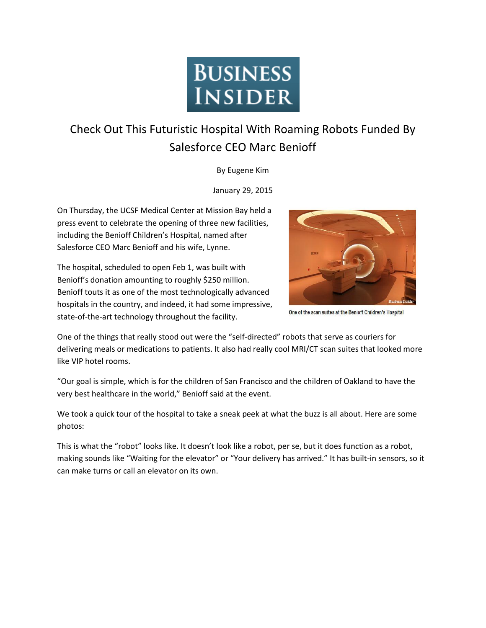

## Check Out This Futuristic Hospital With Roaming Robots Funded By Salesforce CEO Marc Benioff

By Eugene Kim

January 29, 2015

On Thursday, the UCSF Medical Center at Mission Bay held a press event to celebrate the opening of three new facilities, including the Benioff Children's Hospital, named after Salesforce CEO Marc Benioff and his wife, Lynne.

The hospital, scheduled to open Feb 1, was built with Benioff's donation amounting to roughly \$250 million. Benioff touts it as one of the most technologically advanced hospitals in the country, and indeed, it had some impressive, state-of-the-art technology throughout the facility.



One of the scan suites at the Benioff Children's Hospital

One of the things that really stood out were the "self-directed" robots that serve as couriers for delivering meals or medications to patients. It also had really cool MRI/CT scan suites that looked more like VIP hotel rooms.

"Our goal is simple, which is for the children of San Francisco and the children of Oakland to have the very best healthcare in the world," Benioff said at the event.

We took a quick tour of the hospital to take a sneak peek at what the buzz is all about. Here are some photos:

This is what the "robot" looks like. It doesn't look like a robot, per se, but it does function as a robot, making sounds like "Waiting for the elevator" or "Your delivery has arrived." It has built-in sensors, so it can make turns or call an elevator on its own.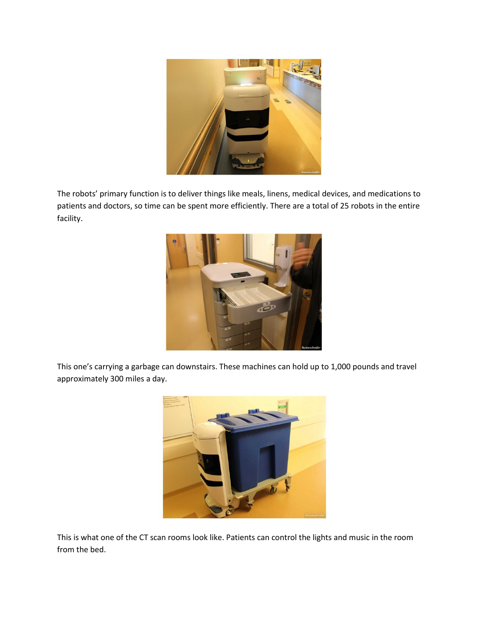

The robots' primary function is to deliver things like meals, linens, medical devices, and medications to patients and doctors, so time can be spent more efficiently. There are a total of 25 robots in the entire facility.



This one's carrying a garbage can downstairs. These machines can hold up to 1,000 pounds and travel approximately 300 miles a day.



This is what one of the CT scan rooms look like. Patients can control the lights and music in the room from the bed.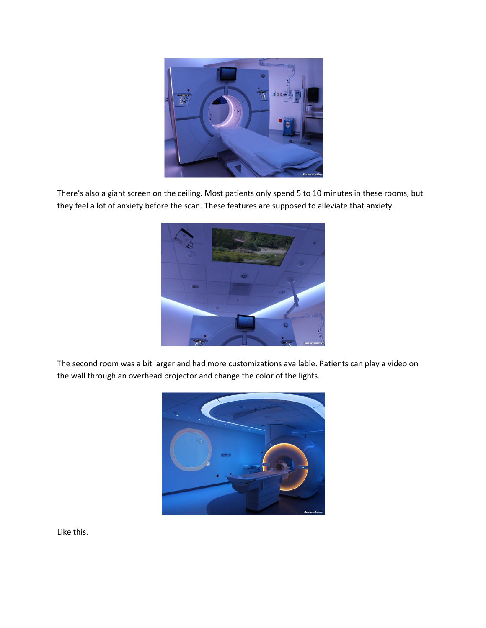

There's also a giant screen on the ceiling. Most patients only spend 5 to 10 minutes in these rooms, but they feel a lot of anxiety before the scan. These features are supposed to alleviate that anxiety.



The second room was a bit larger and had more customizations available. Patients can play a video on the wall through an overhead projector and change the color of the lights.



Like this.